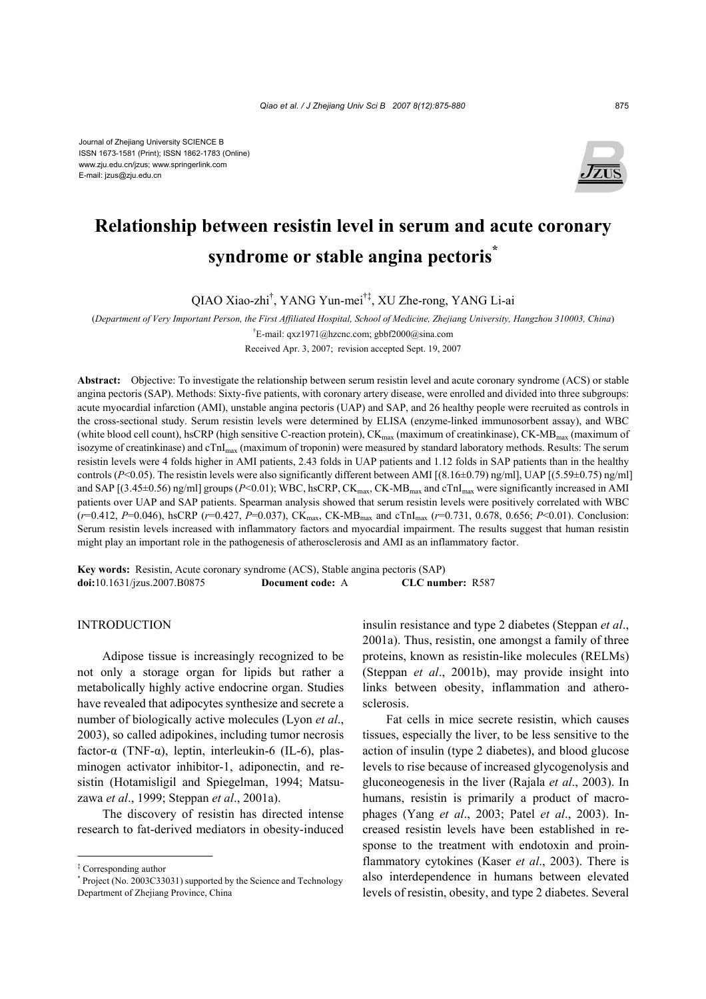Journal of Zhejiang University SCIENCE B ISSN 1673-1581 (Print); ISSN 1862-1783 (Online) www.zju.edu.cn/jzus; www.springerlink.com E-mail: jzus@zju.edu.cn



# **Relationship between resistin level in serum and acute coronary syndrome or stable angina pectoris\***

QIAO Xiao-zhi† , YANG Yun-mei†‡, XU Zhe-rong, YANG Li-ai

(*Department of Very Important Person, the First Affiliated Hospital, School of Medicine, Zhejiang University, Hangzhou 310003, China*) † E-mail: qxz1971@hzcnc.com; gbbf2000@sina.com

Received Apr. 3, 2007; revision accepted Sept. 19, 2007

**Abstract:** Objective: To investigate the relationship between serum resistin level and acute coronary syndrome (ACS) or stable angina pectoris (SAP). Methods: Sixty-five patients, with coronary artery disease, were enrolled and divided into three subgroups: acute myocardial infarction (AMI), unstable angina pectoris (UAP) and SAP, and 26 healthy people were recruited as controls in the cross-sectional study. Serum resistin levels were determined by ELISA (enzyme-linked immunosorbent assay), and WBC (white blood cell count), hsCRP (high sensitive C-reaction protein),  $CK_{\text{max}}$  (maximum of creatinkinase),  $CK-MB_{\text{max}}$  (maximum of isozyme of creatinkinase) and cTnI<sub>max</sub> (maximum of troponin) were measured by standard laboratory methods. Results: The serum resistin levels were 4 folds higher in AMI patients, 2.43 folds in UAP patients and 1.12 folds in SAP patients than in the healthy controls (*P*<0.05). The resistin levels were also significantly different between AMI [(8.16±0.79) ng/ml], UAP [(5.59±0.75) ng/ml] and SAP  $[(3.45\pm0.56)$  ng/ml] groups  $(P<0.01)$ ; WBC, hsCRP, CK<sub>max</sub>, CK-MB<sub>max</sub> and cTnI<sub>max</sub> were significantly increased in AMI patients over UAP and SAP patients. Spearman analysis showed that serum resistin levels were positively correlated with WBC (*r*=0.412, *P*=0.046), hsCRP (*r*=0.427, *P*=0.037), CKmax, CK-MBmax and cTnImax (*r*=0.731, 0.678, 0.656; *P*<0.01). Conclusion: Serum resistin levels increased with inflammatory factors and myocardial impairment. The results suggest that human resistin might play an important role in the pathogenesis of atherosclerosis and AMI as an inflammatory factor.

**Key words:** Resistin, Acute coronary syndrome (ACS), Stable angina pectoris (SAP) **doi:**10.1631/jzus.2007.B0875 **Document code:** A **CLC number:** R587

# INTRODUCTION

Adipose tissue is increasingly recognized to be not only a storage organ for lipids but rather a metabolically highly active endocrine organ. Studies have revealed that adipocytes synthesize and secrete a number of biologically active molecules (Lyon *et al*., 2003), so called adipokines, including tumor necrosis factor-α (TNF-α), leptin, interleukin-6 (IL-6), plasminogen activator inhibitor-1, adiponectin, and resistin (Hotamisligil and Spiegelman, 1994; Matsuzawa *et al*., 1999; Steppan *et al*., 2001a).

The discovery of resistin has directed intense research to fat-derived mediators in obesity-induced insulin resistance and type 2 diabetes (Steppan *et al*., 2001a). Thus, resistin, one amongst a family of three proteins, known as resistin-like molecules (RELMs) (Steppan *et al*., 2001b), may provide insight into links between obesity, inflammation and atherosclerosis.

Fat cells in mice secrete resistin, which causes tissues, especially the liver, to be less sensitive to the action of insulin (type 2 diabetes), and blood glucose levels to rise because of increased glycogenolysis and gluconeogenesis in the liver (Rajala *et al*., 2003). In humans, resistin is primarily a product of macrophages (Yang *et al*., 2003; Patel *et al*., 2003). Increased resistin levels have been established in response to the treatment with endotoxin and proinflammatory cytokines (Kaser *et al*., 2003). There is also interdependence in humans between elevated levels of resistin, obesity, and type 2 diabetes. Several

<sup>‡</sup> Corresponding author

<sup>\*</sup> Project (No. 2003C33031) supported by the Science and Technology Department of Zhejiang Province, China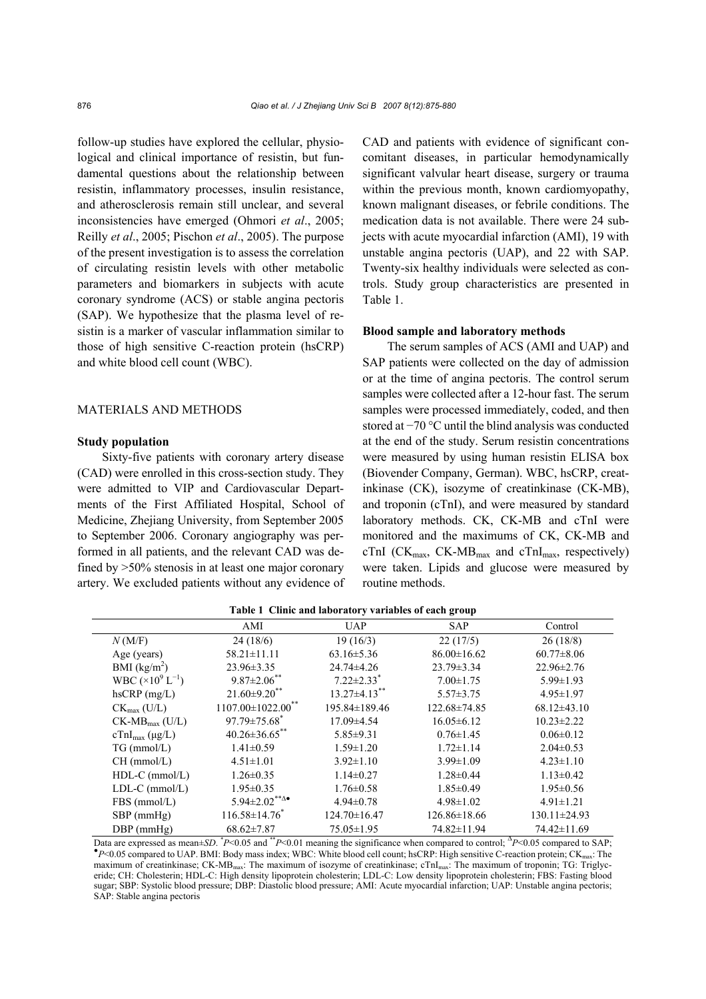follow-up studies have explored the cellular, physiological and clinical importance of resistin, but fundamental questions about the relationship between resistin, inflammatory processes, insulin resistance, and atherosclerosis remain still unclear, and several inconsistencies have emerged (Ohmori *et al*., 2005; Reilly *et al*., 2005; Pischon *et al*., 2005). The purpose of the present investigation is to assess the correlation of circulating resistin levels with other metabolic parameters and biomarkers in subjects with acute coronary syndrome (ACS) or stable angina pectoris (SAP). We hypothesize that the plasma level of resistin is a marker of vascular inflammation similar to those of high sensitive C-reaction protein (hsCRP) and white blood cell count (WBC).

## MATERIALS AND METHODS

### **Study population**

Sixty-five patients with coronary artery disease (CAD) were enrolled in this cross-section study. They were admitted to VIP and Cardiovascular Departments of the First Affiliated Hospital, School of Medicine, Zhejiang University, from September 2005 to September 2006. Coronary angiography was performed in all patients, and the relevant CAD was defined by >50% stenosis in at least one major coronary artery. We excluded patients without any evidence of CAD and patients with evidence of significant concomitant diseases, in particular hemodynamically significant valvular heart disease, surgery or trauma within the previous month, known cardiomyopathy, known malignant diseases, or febrile conditions. The medication data is not available. There were 24 subjects with acute myocardial infarction (AMI), 19 with unstable angina pectoris (UAP), and 22 with SAP. Twenty-six healthy individuals were selected as controls. Study group characteristics are presented in Table 1.

## **Blood sample and laboratory methods**

The serum samples of ACS (AMI and UAP) and SAP patients were collected on the day of admission or at the time of angina pectoris. The control serum samples were collected after a 12-hour fast. The serum samples were processed immediately, coded, and then stored at −70 °C until the blind analysis was conducted at the end of the study. Serum resistin concentrations were measured by using human resistin ELISA box (Biovender Company, German). WBC, hsCRP, creatinkinase (CK), isozyme of creatinkinase (CK-MB), and troponin (cTnI), and were measured by standard laboratory methods. CK, CK-MB and cTnI were monitored and the maximums of CK, CK-MB and cTnI ( $CK_{\text{max}}$ ,  $CK-MB_{\text{max}}$  and  $cTnI_{\text{max}}$ , respectively) were taken. Lipids and glucose were measured by routine methods.

|                                     | AMI                                              | <b>UAP</b>                   | <b>SAP</b>         | Control          |
|-------------------------------------|--------------------------------------------------|------------------------------|--------------------|------------------|
| N(M/F)                              | 24(18/6)                                         | 19(16/3)                     | 22(17/5)           | 26(18/8)         |
| Age (years)                         | $58.21 \pm 11.11$                                | $63.16 \pm 5.36$             | $86.00 \pm 16.62$  | $60.77 \pm 8.06$ |
| BMI $(kg/m2)$                       | $23.96 \pm 3.35$                                 | 24.74±4.26                   | $23.79 \pm 3.34$   | $22.96 \pm 2.76$ |
| WBC $(\times 10^9 \mathrm{L}^{-1})$ | $9.87 \pm 2.06$ **                               | $7.22 \pm 2.33$ <sup>*</sup> | $7.00 \pm 1.75$    | $5.99 \pm 1.93$  |
| $h$ s $CRP$ (mg/L)                  | $21.60\pm9.20$ **                                | $13.27 \pm 4.13$ **          | $5.57 \pm 3.75$    | $4.95 \pm 1.97$  |
| $CK_{\text{max}}$ (U/L)             | $1107.00 \pm 1022.00$ <sup>**</sup>              | 195.84±189.46                | 122.68±74.85       | $68.12\pm43.10$  |
| $CK-MBmax (U/L)$                    | $97.79 \pm 75.68$ <sup>*</sup>                   | 17.09±4.54                   | $16.05 \pm 6.12$   | $10.23 \pm 2.22$ |
| $cTnI_{max}$ (µg/L)                 | $40.26 \pm 36.65$ **                             | $5.85 \pm 9.31$              | $0.76 \pm 1.45$    | $0.06 \pm 0.12$  |
| $TG$ (mmol/L)                       | $1.41 \pm 0.59$                                  | $1.59 \pm 1.20$              | $1.72 \pm 1.14$    | $2.04\pm0.53$    |
| $CH$ (mmol/L)                       | $4.51 \pm 1.01$                                  | $3.92 \pm 1.10$              | $3.99 \pm 1.09$    | $4.23 \pm 1.10$  |
| $HDL-C$ (mmol/L)                    | $1.26 \pm 0.35$                                  | $1.14 \pm 0.27$              | $1.28 \pm 0.44$    | $1.13 \pm 0.42$  |
| $LDL-C$ (mmol/ $L$ )                | $1.95 \pm 0.35$                                  | $1.76 \pm 0.58$              | $1.85 \pm 0.49$    | $1.95 \pm 0.56$  |
| FBS (mmol/L)                        | $5.94 \pm 2.02$ <sup>**<math>\Delta</math></sup> | $4.94\pm0.78$                | $4.98 \pm 1.02$    | $4.91 \pm 1.21$  |
| $SBP$ (mmHg)                        | $116.58 \pm 14.76$ <sup>*</sup>                  | $124.70 \pm 16.47$           | $126.86 \pm 18.66$ | 130.11±24.93     |
| $DBP$ (mmHg)                        | $68.62 \pm 7.87$                                 | $75.05 \pm 1.95$             | 74.82±11.94        | 74.42±11.69      |

|  |  | Table 1 Clinic and laboratory variables of each group |  |  |  |
|--|--|-------------------------------------------------------|--|--|--|
|--|--|-------------------------------------------------------|--|--|--|

**Data are expressed as mean±***SD***. \****P*<0.05 and \*\**P*<0.01 meaning the significance when compared to control; <sup>∆</sup>*P*<0.05 compared to SAP; <br>\**P*≤0.05 compared to UAD DML Pody meas index: WDC; White blood call sount; h⊆DD P  $\leq$  P $\leq$  0.05 compared to UAP. BMI: Body mass index; WBC: White blood cell count; hsCRP: High sensitive C-reaction protein; CK<sub>max</sub>: The maximum of creatinkinase; CK-MB<sub>max</sub>: The maximum of isozyme of creatinkinase; cTnI<sub>max</sub>: The maximum of troponin; TG: Triglyceride; CH: Cholesterin; HDL-C: High density lipoprotein cholesterin; LDL-C: Low density lipoprotein cholesterin; FBS: Fasting blood sugar; SBP: Systolic blood pressure; DBP: Diastolic blood pressure; AMI: Acute myocardial infarction; UAP: Unstable angina pectoris; SAP: Stable angina pectoris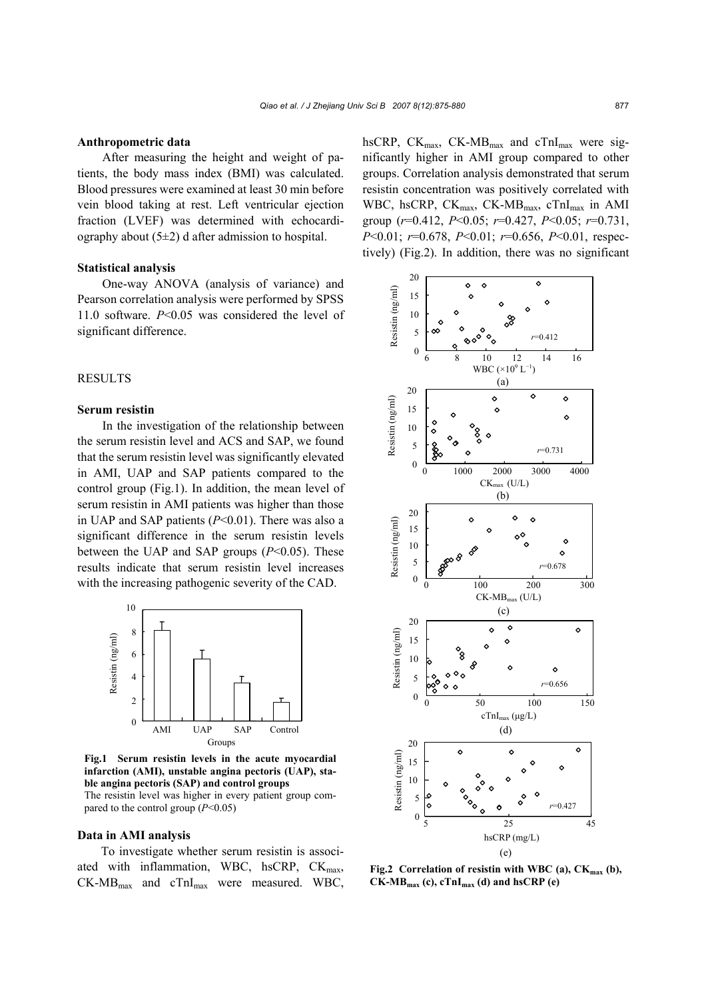#### **Anthropometric data**

After measuring the height and weight of patients, the body mass index (BMI) was calculated. Blood pressures were examined at least 30 min before vein blood taking at rest. Left ventricular ejection fraction (LVEF) was determined with echocardiography about  $(5\pm 2)$  d after admission to hospital.

#### **Statistical analysis**

One-way ANOVA (analysis of variance) and Pearson correlation analysis were performed by SPSS 11.0 software. *P*<0.05 was considered the level of significant difference.

# RESULTS

## **Serum resistin**

In the investigation of the relationship between the serum resistin level and ACS and SAP, we found that the serum resistin level was significantly elevated in AMI, UAP and SAP patients compared to the control group (Fig.1). In addition, the mean level of serum resistin in AMI patients was higher than those in UAP and SAP patients (*P*<0.01). There was also a significant difference in the serum resistin levels between the UAP and SAP groups (*P*<0.05). These results indicate that serum resistin level increases with the increasing pathogenic severity of the CAD.



**Fig.1 Serum resistin levels in the acute myocardial infarction (AMI), unstable angina pectoris (UAP), stable angina pectoris (SAP) and control groups**  The resistin level was higher in every patient group com-

pared to the control group  $(P<0.05)$ 

# **Data in AMI analysis**

To investigate whether serum resistin is associated with inflammation, WBC, hsCRP,  $CK<sub>max</sub>$ ,  $CK-MB<sub>max</sub>$  and  $cTnI<sub>max</sub>$  were measured. WBC, hsCRP, CK $_{\text{max}}$ , CK-MB $_{\text{max}}$  and cTnI $_{\text{max}}$  were significantly higher in AMI group compared to other groups. Correlation analysis demonstrated that serum resistin concentration was positively correlated with WBC, hsCRP, CK<sub>max</sub>, CK-MB<sub>max</sub>, cTnI<sub>max</sub> in AMI group (*r*=0.412, *P*<0.05; *r*=0.427, *P*<0.05; *r*=0.731, *P*<0.01; *r*=0.678, *P*<0.01; *r*=0.656, *P*<0.01, respectively) (Fig.2). In addition, there was no significant



Fig.2 Correlation of resistin with WBC (a), CK<sub>max</sub> (b), **CK-MBmax (c), cTnImax (d) and hsCRP (e)**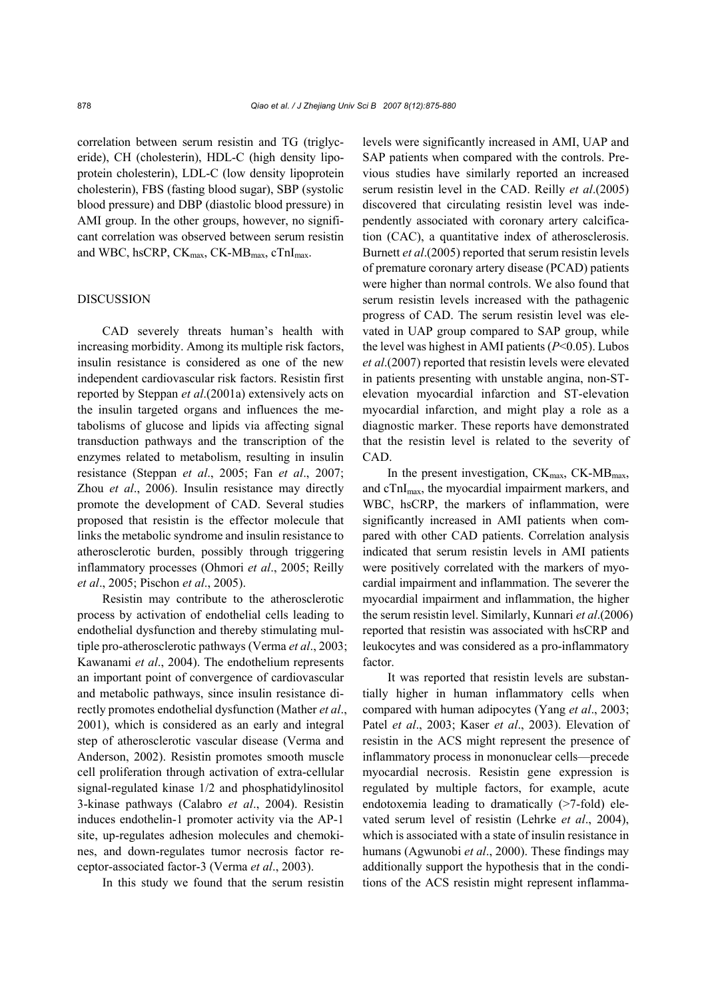correlation between serum resistin and TG (triglyceride), CH (cholesterin), HDL-C (high density lipoprotein cholesterin), LDL-C (low density lipoprotein cholesterin), FBS (fasting blood sugar), SBP (systolic blood pressure) and DBP (diastolic blood pressure) in AMI group. In the other groups, however, no significant correlation was observed between serum resistin and WBC, hsCRP, CK<sub>max</sub>, CK-MB<sub>max</sub>, cTnI<sub>max</sub>.

## DISCUSSION

CAD severely threats human's health with increasing morbidity. Among its multiple risk factors, insulin resistance is considered as one of the new independent cardiovascular risk factors. Resistin first reported by Steppan *et al*.(2001a) extensively acts on the insulin targeted organs and influences the metabolisms of glucose and lipids via affecting signal transduction pathways and the transcription of the enzymes related to metabolism, resulting in insulin resistance (Steppan *et al*., 2005; Fan *et al*., 2007; Zhou *et al*., 2006). Insulin resistance may directly promote the development of CAD. Several studies proposed that resistin is the effector molecule that links the metabolic syndrome and insulin resistance to atherosclerotic burden, possibly through triggering inflammatory processes (Ohmori *et al*., 2005; Reilly *et al*., 2005; Pischon *et al*., 2005).

Resistin may contribute to the atherosclerotic process by activation of endothelial cells leading to endothelial dysfunction and thereby stimulating multiple pro-atherosclerotic pathways (Verma *et al*., 2003; Kawanami *et al*., 2004). The endothelium represents an important point of convergence of cardiovascular and metabolic pathways, since insulin resistance directly promotes endothelial dysfunction (Mather *et al*., 2001), which is considered as an early and integral step of atherosclerotic vascular disease (Verma and Anderson, 2002). Resistin promotes smooth muscle cell proliferation through activation of extra-cellular signal-regulated kinase 1/2 and phosphatidylinositol 3-kinase pathways (Calabro *et al*., 2004). Resistin induces endothelin-1 promoter activity via the AP-1 site, up-regulates adhesion molecules and chemokines, and down-regulates tumor necrosis factor receptor-associated factor-3 (Verma *et al*., 2003).

In this study we found that the serum resistin

levels were significantly increased in AMI, UAP and SAP patients when compared with the controls. Previous studies have similarly reported an increased serum resistin level in the CAD. Reilly *et al*.(2005) discovered that circulating resistin level was independently associated with coronary artery calcification (CAC), a quantitative index of atherosclerosis. Burnett *et al*.(2005) reported that serum resistin levels of premature coronary artery disease (PCAD) patients were higher than normal controls. We also found that serum resistin levels increased with the pathagenic progress of CAD. The serum resistin level was elevated in UAP group compared to SAP group, while the level was highest in AMI patients (*P*<0.05). Lubos *et al*.(2007) reported that resistin levels were elevated in patients presenting with unstable angina, non-STelevation myocardial infarction and ST-elevation myocardial infarction, and might play a role as a diagnostic marker. These reports have demonstrated that the resistin level is related to the severity of CAD.

In the present investigation,  $CK_{max}$ ,  $CK-MB_{max}$ , and cTnImax, the myocardial impairment markers, and WBC, hsCRP, the markers of inflammation, were significantly increased in AMI patients when compared with other CAD patients. Correlation analysis indicated that serum resistin levels in AMI patients were positively correlated with the markers of myocardial impairment and inflammation. The severer the myocardial impairment and inflammation, the higher the serum resistin level. Similarly, Kunnari *et al*.(2006) reported that resistin was associated with hsCRP and leukocytes and was considered as a pro-inflammatory factor.

It was reported that resistin levels are substantially higher in human inflammatory cells when compared with human adipocytes (Yang *et al*., 2003; Patel *et al*., 2003; Kaser *et al*., 2003). Elevation of resistin in the ACS might represent the presence of inflammatory process in mononuclear cells—precede myocardial necrosis. Resistin gene expression is regulated by multiple factors, for example, acute endotoxemia leading to dramatically ( $>7$ -fold) elevated serum level of resistin (Lehrke *et al*., 2004), which is associated with a state of insulin resistance in humans (Agwunobi *et al*., 2000). These findings may additionally support the hypothesis that in the conditions of the ACS resistin might represent inflamma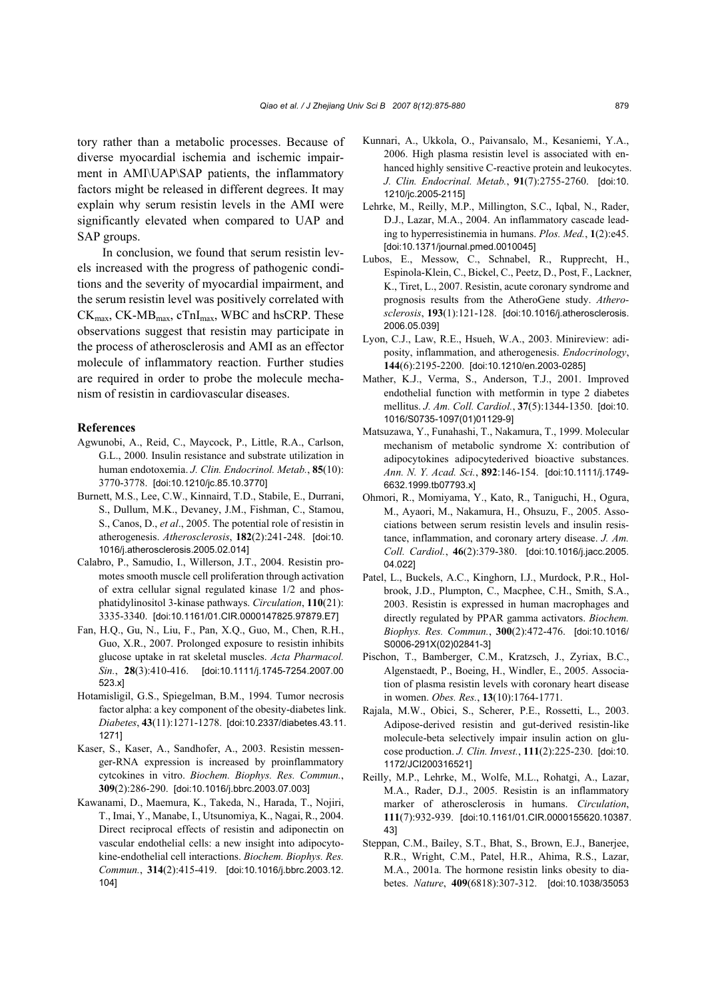tory rather than a metabolic processes. Because of diverse myocardial ischemia and ischemic impairment in AMI\UAP\SAP patients, the inflammatory factors might be released in different degrees. It may explain why serum resistin levels in the AMI were significantly elevated when compared to UAP and SAP groups.

In conclusion, we found that serum resistin levels increased with the progress of pathogenic conditions and the severity of myocardial impairment, and the serum resistin level was positively correlated with  $CK_{\text{max}}$ ,  $CK\text{-}MB_{\text{max}}$ ,  $c\text{TrI}_{\text{max}}$ , WBC and hsCRP. These observations suggest that resistin may participate in the process of atherosclerosis and AMI as an effector molecule of inflammatory reaction. Further studies are required in order to probe the molecule mechanism of resistin in cardiovascular diseases.

#### **References**

- Agwunobi, A., Reid, C., Maycock, P., Little, R.A., Carlson, G.L., 2000. Insulin resistance and substrate utilization in human endotoxemia. *J. Clin. Endocrinol. Metab.*, **85**(10): 3770-3778. [doi:10.1210/jc.85.10.3770]
- Burnett, M.S., Lee, C.W., Kinnaird, T.D., Stabile, E., Durrani, S., Dullum, M.K., Devaney, J.M., Fishman, C., Stamou, S., Canos, D., *et al*., 2005. The potential role of resistin in atherogenesis. *Atherosclerosis*, **182**(2):241-248. [doi:10. 1016/j.atherosclerosis.2005.02.014]
- Calabro, P., Samudio, I., Willerson, J.T., 2004. Resistin promotes smooth muscle cell proliferation through activation of extra cellular signal regulated kinase 1/2 and phosphatidylinositol 3-kinase pathways. *Circulation*, **110**(21): 3335-3340. [doi:10.1161/01.CIR.0000147825.97879.E7]
- Fan, H.Q., Gu, N., Liu, F., Pan, X.Q., Guo, M., Chen, R.H., Guo, X.R., 2007. Prolonged exposure to resistin inhibits glucose uptake in rat skeletal muscles. *Acta Pharmacol. Sin.*, **28**(3):410-416. [doi:10.1111/j.1745-7254.2007.00 523.x]
- Hotamisligil, G.S., Spiegelman, B.M., 1994. Tumor necrosis factor alpha: a key component of the obesity-diabetes link. *Diabetes*, **43**(11):1271-1278. [doi:10.2337/diabetes.43.11. 1271]
- Kaser, S., Kaser, A., Sandhofer, A., 2003. Resistin messenger-RNA expression is increased by proinflammatory cytcokines in vitro. *Biochem. Biophys. Res. Commun.*, **309**(2):286-290. [doi:10.1016/j.bbrc.2003.07.003]
- Kawanami, D., Maemura, K., Takeda, N., Harada, T., Nojiri, T., Imai, Y., Manabe, I., Utsunomiya, K., Nagai, R., 2004. Direct reciprocal effects of resistin and adiponectin on vascular endothelial cells: a new insight into adipocytokine-endothelial cell interactions. *Biochem. Biophys. Res. Commun.*, **314**(2):415-419. [doi:10.1016/j.bbrc.2003.12. 104]
- Kunnari, A., Ukkola, O., Paivansalo, M., Kesaniemi, Y.A., 2006. High plasma resistin level is associated with enhanced highly sensitive C-reactive protein and leukocytes. *J. Clin. Endocrinal. Metab.*, **91**(7):2755-2760. [doi:10. 1210/jc.2005-2115]
- Lehrke, M., Reilly, M.P., Millington, S.C., Igbal, N., Rader, D.J., Lazar, M.A., 2004. An inflammatory cascade leading to hyperresistinemia in humans. *Plos. Med.*, **1**(2):e45. [doi:10.1371/journal.pmed.0010045]
- Lubos, E., Messow, C., Schnabel, R., Rupprecht, H., Espinola-Klein, C., Bickel, C., Peetz, D., Post, F., Lackner, K., Tiret, L., 2007. Resistin, acute coronary syndrome and prognosis results from the AtheroGene study. *Atherosclerosis*, **193**(1):121-128. [doi:10.1016/j.atherosclerosis. 2006.05.039]
- Lyon, C.J., Law, R.E., Hsueh, W.A., 2003. Minireview: adiposity, inflammation, and atherogenesis. *Endocrinology*, **144**(6):2195-2200. [doi:10.1210/en.2003-0285]
- Mather, K.J., Verma, S., Anderson, T.J., 2001. Improved endothelial function with metformin in type 2 diabetes mellitus. *J. Am. Coll. Cardiol.*, **37**(5):1344-1350. [doi:10. 1016/S0735-1097(01)01129-9]
- Matsuzawa, Y., Funahashi, T., Nakamura, T., 1999. Molecular mechanism of metabolic syndrome X: contribution of adipocytokines adipocytederived bioactive substances. *Ann. N. Y. Acad. Sci.*, **892**:146-154. [doi:10.1111/j.1749- 6632.1999.tb07793.x]
- Ohmori, R., Momiyama, Y., Kato, R., Taniguchi, H., Ogura, M., Ayaori, M., Nakamura, H., Ohsuzu, F., 2005. Associations between serum resistin levels and insulin resistance, inflammation, and coronary artery disease. *J. Am. Coll. Cardiol.*, **46**(2):379-380. [doi:10.1016/j.jacc.2005. 04.022]
- Patel, L., Buckels, A.C., Kinghorn, I.J., Murdock, P.R., Holbrook, J.D., Plumpton, C., Macphee, C.H., Smith, S.A., 2003. Resistin is expressed in human macrophages and directly regulated by PPAR gamma activators. *Biochem. Biophys. Res. Commun.*, **300**(2):472-476. [doi:10.1016/ S0006-291X(02)02841-3]
- Pischon, T., Bamberger, C.M., Kratzsch, J., Zyriax, B.C., Algenstaedt, P., Boeing, H., Windler, E., 2005. Association of plasma resistin levels with coronary heart disease in women. *Obes. Res.*, **13**(10):1764-1771.
- Rajala, M.W., Obici, S., Scherer, P.E., Rossetti, L., 2003. Adipose-derived resistin and gut-derived resistin-like molecule-beta selectively impair insulin action on glucose production. *J. Clin. Invest.*, **111**(2):225-230. [doi:10. 1172/JCI200316521]
- Reilly, M.P., Lehrke, M., Wolfe, M.L., Rohatgi, A., Lazar, M.A., Rader, D.J., 2005. Resistin is an inflammatory marker of atherosclerosis in humans. *Circulation*, **111**(7):932-939. [doi:10.1161/01.CIR.0000155620.10387. 43]
- Steppan, C.M., Bailey, S.T., Bhat, S., Brown, E.J., Banerjee, R.R., Wright, C.M., Patel, H.R., Ahima, R.S., Lazar, M.A., 2001a. The hormone resistin links obesity to diabetes. *Nature*, **409**(6818):307-312. [doi:10.1038/35053